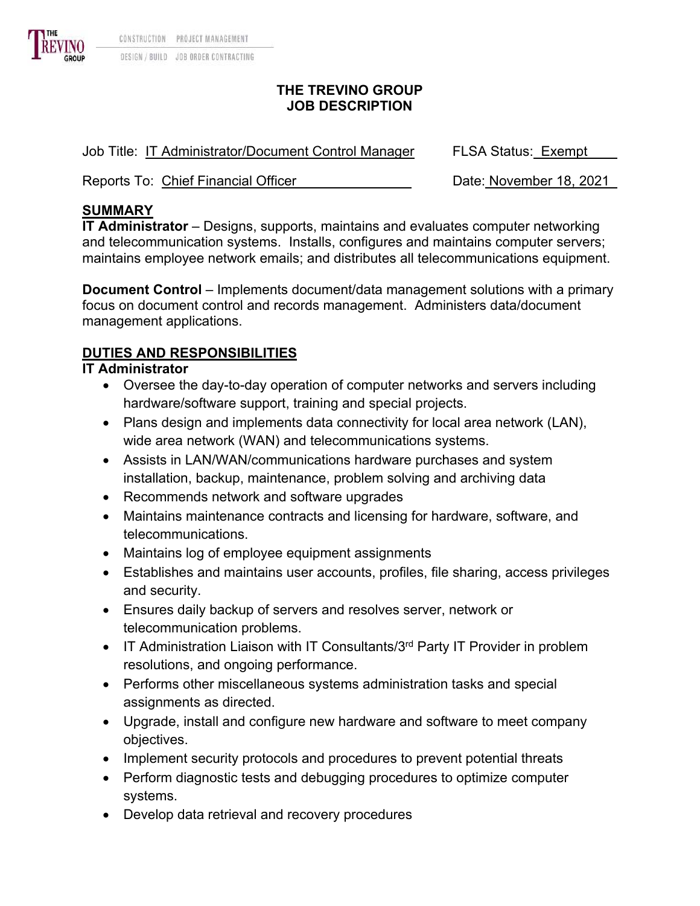

#### **THE TREVINO GROUP JOB DESCRIPTION**

| Job Title: IT Administrator/Document Control Manager | <b>FLSA Status: Exempt</b> |
|------------------------------------------------------|----------------------------|
| Reports To: Chief Financial Officer                  | Date: November 18, 2021    |

## **SUMMARY**

**IT Administrator** – Designs, supports, maintains and evaluates computer networking and telecommunication systems. Installs, configures and maintains computer servers; maintains employee network emails; and distributes all telecommunications equipment.

**Document Control** – Implements document/data management solutions with a primary focus on document control and records management. Administers data/document management applications.

# **DUTIES AND RESPONSIBILITIES**

### **IT Administrator**

- Oversee the day-to-day operation of computer networks and servers including hardware/software support, training and special projects.
- Plans design and implements data connectivity for local area network (LAN), wide area network (WAN) and telecommunications systems.
- Assists in LAN/WAN/communications hardware purchases and system installation, backup, maintenance, problem solving and archiving data
- Recommends network and software upgrades
- Maintains maintenance contracts and licensing for hardware, software, and telecommunications.
- Maintains log of employee equipment assignments
- Establishes and maintains user accounts, profiles, file sharing, access privileges and security.
- Ensures daily backup of servers and resolves server, network or telecommunication problems.
- IT Administration Liaison with IT Consultants/ $3<sup>rd</sup>$  Party IT Provider in problem resolutions, and ongoing performance.
- Performs other miscellaneous systems administration tasks and special assignments as directed.
- Upgrade, install and configure new hardware and software to meet company objectives.
- Implement security protocols and procedures to prevent potential threats
- Perform diagnostic tests and debugging procedures to optimize computer systems.
- Develop data retrieval and recovery procedures